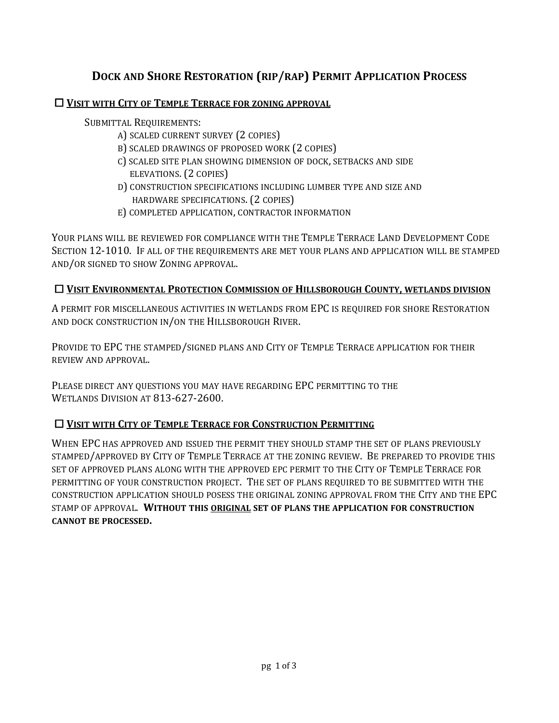## **DOCK AND SHORE RESTORATION (RIP/RAP) PERMIT APPLICATION PROCESS**

#### **VISIT WITH CITY OF TEMPLE TERRACE FOR ZONING APPROVAL**

SUBMITTAL REQUIREMENTS:

- A) SCALED CURRENT SURVEY (2 COPIES)
- B) SCALED DRAWINGS OF PROPOSED WORK (2 COPIES)
- C) SCALED SITE PLAN SHOWING DIMENSION OF DOCK, SETBACKS AND SIDE ELEVATIONS. (2 COPIES)
- D) CONSTRUCTION SPECIFICATIONS INCLUDING LUMBER TYPE AND SIZE AND HARDWARE SPECIFICATIONS. (2 COPIES)
- E) COMPLETED APPLICATION, CONTRACTOR INFORMATION

YOUR PLANS WILL BE REVIEWED FOR COMPLIANCE WITH THE TEMPLE TERRACE LAND DEVELOPMENT CODE SECTION 12-1010. IF ALL OF THE REQUIREMENTS ARE MET YOUR PLANS AND APPLICATION WILL BE STAMPED AND/OR SIGNED TO SHOW ZONING APPROVAL. 

#### **VISIT ENVIRONMENTAL PROTECTION COMMISSION OF HILLSBOROUGH COUNTY, WETLANDS DIVISION**

A PERMIT FOR MISCELLANEOUS ACTIVITIES IN WETLANDS FROM EPC IS REQUIRED FOR SHORE RESTORATION AND DOCK CONSTRUCTION IN/ON THE HILLSBOROUGH RIVER.

PROVIDE TO EPC THE STAMPED/SIGNED PLANS AND CITY OF TEMPLE TERRACE APPLICATION FOR THEIR REVIEW AND APPROVAL. 

PLEASE DIRECT ANY OUESTIONS YOU MAY HAVE REGARDING EPC PERMITTING TO THE WETLANDS DIVISION AT 813-627-2600.

#### **VISIT WITH CITY OF TEMPLE TERRACE FOR CONSTRUCTION PERMITTING**

WHEN EPC HAS APPROVED AND ISSUED THE PERMIT THEY SHOULD STAMP THE SET OF PLANS PREVIOUSLY STAMPED/APPROVED BY CITY OF TEMPLE TERRACE AT THE ZONING REVIEW. BE PREPARED TO PROVIDE THIS SET OF APPROVED PLANS ALONG WITH THE APPROVED EPC PERMIT TO THE CITY OF TEMPLE TERRACE FOR PERMITTING OF YOUR CONSTRUCTION PROJECT. THE SET OF PLANS REQUIRED TO BE SUBMITTED WITH THE CONSTRUCTION APPLICATION SHOULD POSESS THE ORIGINAL ZONING APPROVAL FROM THE CITY AND THE EPC STAMP OF APPROVAL. **WITHOUT THIS ORIGINAL SET OF PLANS THE APPLICATION FOR CONSTRUCTION CANNOT BE PROCESSED.**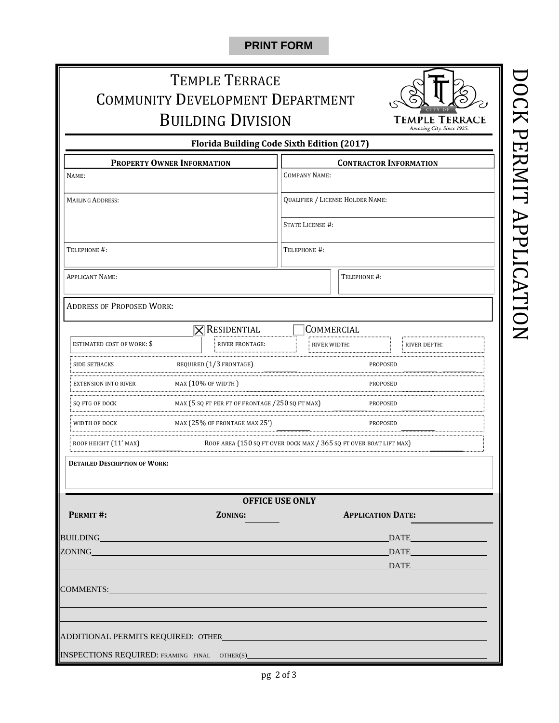### **PRINT FORM**

# TEMPLE TERRACE COMMUNITY DEVELOPMENT DEPARTMENT **BUILDING DIVISION**



**Florida Building Code Sixth Edition (2017)**

| <b>PROPERTY OWNER INFORMATION</b>            |                                                   | <b>CONTRACTOR INFORMATION</b>           |                          |              |  |
|----------------------------------------------|---------------------------------------------------|-----------------------------------------|--------------------------|--------------|--|
| NAME:                                        |                                                   | <b>COMPANY NAME:</b>                    |                          |              |  |
| <b>MAILING ADDRESS:</b>                      |                                                   | <b>QUALIFIER / LICENSE HOLDER NAME:</b> |                          |              |  |
|                                              |                                                   | <b>STATE LICENSE #:</b>                 |                          |              |  |
| TELEPHONE #:                                 |                                                   | TELEPHONE #:                            |                          |              |  |
| <b>APPLICANT NAME:</b>                       |                                                   |                                         | TELEPHONE #:             |              |  |
| <b>ADDRESS OF PROPOSED WORK:</b>             |                                                   |                                         |                          |              |  |
|                                              | $\times$ Residential                              |                                         | COMMERCIAL               |              |  |
| ESTIMATED COST OF WORK: \$                   | RIVER FRONTAGE:                                   | RIVER WIDTH:                            |                          | RIVER DEPTH: |  |
| <b>SIDE SETBACKS</b>                         | REQUIRED (1/3 FRONTAGE)                           |                                         | <b>PROPOSED</b>          |              |  |
| <b>EXTENSION INTO RIVER</b>                  | MAX $(10\%$ OF WIDTH $)$                          |                                         | <b>PROPOSED</b>          |              |  |
| SQ FTG OF DOCK                               | MAX (5 SQ FT PER FT OF FRONTAGE /250 SQ FT MAX)   | PROPOSED                                |                          |              |  |
| WIDTH OF DOCK                                | MAX (25% OF FRONTAGE MAX 25')                     | PROPOSED                                |                          |              |  |
|                                              |                                                   |                                         |                          |              |  |
| <b>DETAILED DESCRIPTION OF WORK:</b>         |                                                   |                                         |                          |              |  |
|                                              |                                                   | <b>OFFICE USE ONLY</b>                  |                          |              |  |
| PERMIT #:                                    | ZONING:                                           |                                         | <b>APPLICATION DATE:</b> |              |  |
| BUILDING                                     |                                                   |                                         |                          |              |  |
| ZONING                                       |                                                   |                                         |                          | DATE         |  |
|                                              |                                                   |                                         |                          | <b>DATE</b>  |  |
| COMMENTS:                                    | <u> 1990 - Johann Barbara, martxa amerikan da</u> |                                         |                          |              |  |
|                                              |                                                   |                                         |                          |              |  |
|                                              |                                                   |                                         |                          |              |  |
|                                              |                                                   |                                         |                          |              |  |
| INSPECTIONS REQUIRED: FRAMING FINAL OTHER(S) |                                                   |                                         |                          |              |  |